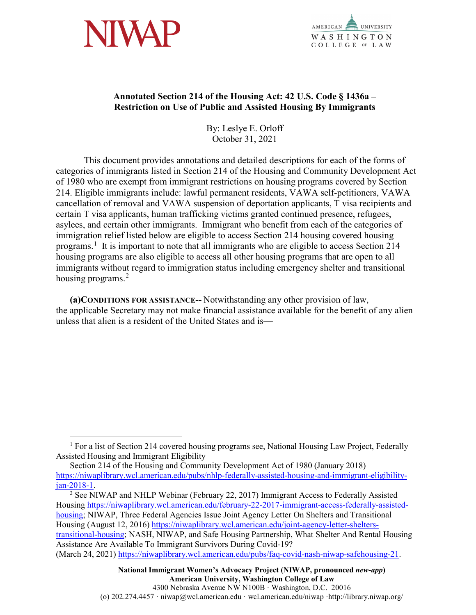



## **Annotated Section 214 of the Housing Act: 42 U.S. Code § 1436a – Restriction on Use of Public and Assisted Housing By Immigrants**

By: Leslye E. Orloff October 31, 2021

This document provides annotations and detailed descriptions for each of the forms of categories of immigrants listed in Section 214 of the Housing and Community Development Act of 1980 who are exempt from immigrant restrictions on housing programs covered by Section 214. Eligible immigrants include: lawful permanent residents, VAWA self-petitioners, VAWA cancellation of removal and VAWA suspension of deportation applicants, T visa recipients and certain T visa applicants, human trafficking victims granted continued presence, refugees, asylees, and certain other immigrants. Immigrant who benefit from each of the categories of immigration relief listed below are eligible to access Section 214 housing covered housing programs.<sup>[1](#page-0-0)</sup> It is important to note that all immigrants who are eligible to access Section 214 housing programs are also eligible to access all other housing programs that are open to all immigrants without regard to immigration status including emergency shelter and transitional housing programs.<sup>[2](#page-0-1)</sup>

**(a)CONDITIONS FOR ASSISTANCE--** Notwithstanding any other provision of law, the applicable Secretary may not make financial assistance available for the benefit of any alien unless that alien is a resident of the United States and is—

<span id="page-0-1"></span>Housing [https://niwaplibrary.wcl.american.edu/february-22-2017-immigrant-access-federally-assisted](https://niwaplibrary.wcl.american.edu/february-22-2017-immigrant-access-federally-assisted-housing)[housing;](https://niwaplibrary.wcl.american.edu/february-22-2017-immigrant-access-federally-assisted-housing) NIWAP, Three Federal Agencies Issue Joint Agency Letter On Shelters and Transitional Housing (August 12, 2016) [https://niwaplibrary.wcl.american.edu/joint-agency-letter-shelters](https://niwaplibrary.wcl.american.edu/joint-agency-letter-shelters-transitional-housing)[transitional-housing;](https://niwaplibrary.wcl.american.edu/joint-agency-letter-shelters-transitional-housing) NASH, NIWAP, and Safe Housing Partnership, What Shelter And Rental Housing Assistance Are Available To Immigrant Survivors During Covid-19? (March 24, 2021) [https://niwaplibrary.wcl.american.edu/pubs/faq-covid-nash-niwap-safehousing-21.](https://niwaplibrary.wcl.american.edu/pubs/faq-covid-nash-niwap-safehousing-21)

<span id="page-0-0"></span> $1$  For a list of Section 214 covered housing programs see, National Housing Law Project, Federally Assisted Housing and Immigrant Eligibility

Section 214 of the Housing and Community Development Act of 1980 (January 2018) [https://niwaplibrary.wcl.american.edu/pubs/nhlp-federally-assisted-housing-and-immigrant-eligibility](https://niwaplibrary.wcl.american.edu/pubs/nhlp-federally-assisted-housing-and-immigrant-eligibility-jan-2018-1)jan-2018-1.<br><sup>2</sup> See NIWAP and NHLP Webinar (February 22, 2017) Immigrant Access to Federally Assisted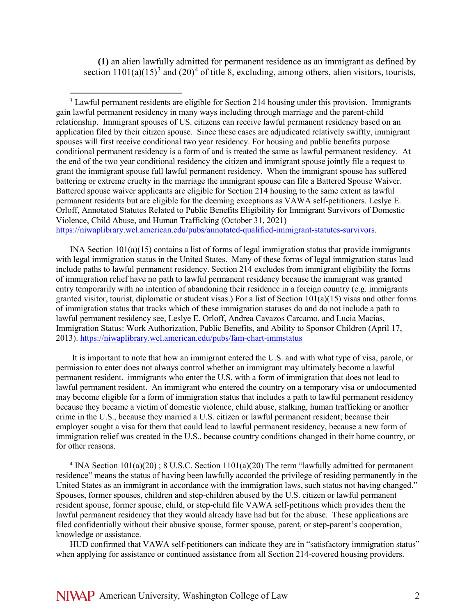**(1)** an alien lawfully admitted for permanent residence as an immigrant as defined by section  $1101(a)(15)^3$  $1101(a)(15)^3$  and  $(20)^4$  $(20)^4$  of title 8, excluding, among others, alien visitors, tourists,

<span id="page-1-0"></span><sup>3</sup> Lawful permanent residents are eligible for Section 214 housing under this provision. Immigrants gain lawful permanent residency in many ways including through marriage and the parent-child relationship. Immigrant spouses of US. citizens can receive lawful permanent residency based on an application filed by their citizen spouse. Since these cases are adjudicated relatively swiftly, immigrant spouses will first receive conditional two year residency. For housing and public benefits purpose conditional permanent residency is a form of and is treated the same as lawful permanent residency. At the end of the two year conditional residency the citizen and immigrant spouse jointly file a request to grant the immigrant spouse full lawful permanent residency. When the immigrant spouse has suffered battering or extreme cruelty in the marriage the immigrant spouse can file a Battered Spouse Waiver. Battered spouse waiver applicants are eligible for Section 214 housing to the same extent as lawful permanent residents but are eligible for the deeming exceptions as VAWA self-petitioners. Leslye E. Orloff, Annotated Statutes Related to Public Benefits Eligibility for Immigrant Survivors of Domestic Violence, Child Abuse, and Human Trafficking (October 31, 2021)

[https://niwaplibrary.wcl.american.edu/pubs/annotated-qualified-immigrant-statutes-survivors.](https://niwaplibrary.wcl.american.edu/pubs/annotated-qualified-immigrant-statutes-survivors)

INA Section 101(a)(15) contains a list of forms of legal immigration status that provide immigrants with legal immigration status in the United States. Many of these forms of legal immigration status lead include paths to lawful permanent residency. Section 214 excludes from immigrant eligibility the forms of immigration relief have no path to lawful permanent residency because the immigrant was granted entry temporarily with no intention of abandoning their residence in a foreign country (e.g. immigrants granted visitor, tourist, diplomatic or student visas.) For a list of Section 101(a)(15) visas and other forms of immigration status that tracks which of these immigration statuses do and do not include a path to lawful permanent residency see, Leslye E. Orloff, Andrea Cavazos Carcamo, and Lucia Macias, Immigration Status: Work Authorization, Public Benefits, and Ability to Sponsor Children (April 17, 2013).<https://niwaplibrary.wcl.american.edu/pubs/fam-chart-immstatus>

It is important to note that how an immigrant entered the U.S. and with what type of visa, parole, or permission to enter does not always control whether an immigrant may ultimately become a lawful permanent resident. immigrants who enter the U.S. with a form of immigration that does not lead to lawful permanent resident. An immigrant who entered the country on a temporary visa or undocumented may become eligible for a form of immigration status that includes a path to lawful permanent residency because they became a victim of domestic violence, child abuse, stalking, human trafficking or another crime in the U.S., because they married a U.S. citizen or lawful permanent resident; because their employer sought a visa for them that could lead to lawful permanent residency, because a new form of immigration relief was created in the U.S., because country conditions changed in their home country, or for other reasons.

<span id="page-1-1"></span><sup>4</sup> INA Section  $101(a)(20)$ ; 8 U.S.C. Section  $1101(a)(20)$  The term "lawfully admitted for permanent" residence" means the status of having been lawfully accorded the privilege of residing permanently in the United States as an immigrant in accordance with the immigration laws, such status not having changed." Spouses, former spouses, children and step-children abused by the U.S. citizen or lawful permanent resident spouse, former spouse, child, or step-child file VAWA self-petitions which provides them the lawful permanent residency that they would already have had but for the abuse. These applications are filed confidentially without their abusive spouse, former spouse, parent, or step-parent's cooperation, knowledge or assistance.

HUD confirmed that VAWA self-petitioners can indicate they are in "satisfactory immigration status" when applying for assistance or continued assistance from all Section 214-covered housing providers.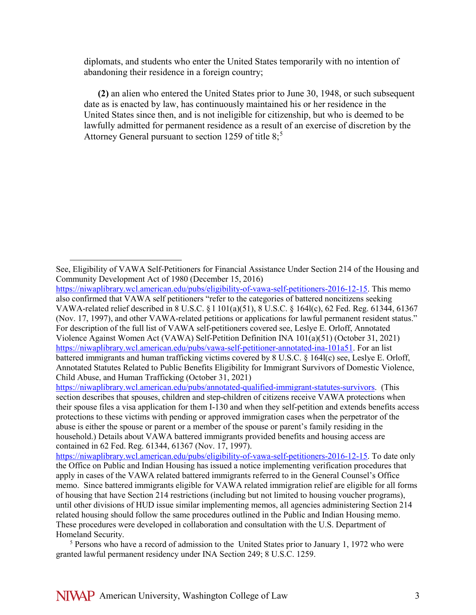diplomats, and students who enter the United States temporarily with no intention of abandoning their residence in a foreign country;

**(2)** an alien who entered the United States prior to June 30, 1948, or such subsequent date as is enacted by law, has continuously maintained his or her residence in the United States since then, and is not ineligible for citizenship, but who is deemed to be lawfully admitted for permanent residence as a result of an exercise of discretion by the Attorney General pursuant to section 12[5](#page-2-0)9 of title  $8:5$ 

[https://niwaplibrary.wcl.american.edu/pubs/annotated-qualified-immigrant-statutes-survivors.](https://niwaplibrary.wcl.american.edu/pubs/annotated-qualified-immigrant-statutes-survivors) (This section describes that spouses, children and step-children of citizens receive VAWA protections when their spouse files a visa application for them I-130 and when they self-petition and extends benefits access protections to these victims with pending or approved immigration cases when the perpetrator of the abuse is either the spouse or parent or a member of the spouse or parent's family residing in the household.) Details about VAWA battered immigrants provided benefits and housing access are contained in 62 Fed. Reg. 61344, 61367 (Nov. 17, 1997).

[https://niwaplibrary.wcl.american.edu/pubs/eligibility-of-vawa-self-petitioners-2016-12-15.](https://niwaplibrary.wcl.american.edu/pubs/eligibility-of-vawa-self-petitioners-2016-12-15) To date only the Office on Public and Indian Housing has issued a notice implementing verification procedures that apply in cases of the VAWA related battered immigrants referred to in the General Counsel's Office memo. Since battered immigrants eligible for VAWA related immigration relief are eligible for all forms of housing that have Section 214 restrictions (including but not limited to housing voucher programs), until other divisions of HUD issue similar implementing memos, all agencies administering Section 214 related housing should follow the same procedures outlined in the Public and Indian Housing memo. These procedures were developed in collaboration and consultation with the U.S. Department of Homeland Security.

 $\overline{a}$ 

See, Eligibility of VAWA Self-Petitioners for Financial Assistance Under Section 214 of the Housing and Community Development Act of 1980 (December 15, 2016)

[https://niwaplibrary.wcl.american.edu/pubs/eligibility-of-vawa-self-petitioners-2016-12-15.](https://niwaplibrary.wcl.american.edu/pubs/eligibility-of-vawa-self-petitioners-2016-12-15) This memo also confirmed that VAWA self petitioners "refer to the categories of battered noncitizens seeking VAWA-related relief described in 8 U.S.C. § l 101(a)(51), 8 U.S.C. § 164l(c), 62 Fed. Reg. 61344, 61367 (Nov. 17, 1997), and other VAWA-related petitions or applications for lawful permanent resident status." For description of the full list of VAWA self-petitioners covered see, Leslye E. Orloff, Annotated Violence Against Women Act (VAWA) Self-Petition Definition INA 101(a)(51) (October 31, 2021) [https://niwaplibrary.wcl.american.edu/pubs/vawa-self-petitioner-annotated-ina-101a51.](https://niwaplibrary.wcl.american.edu/pubs/vawa-self-petitioner-annotated-ina-101a51) For an list battered immigrants and human trafficking victims covered by 8 U.S.C. § 164l(c) see, Leslye E. Orloff, Annotated Statutes Related to Public Benefits Eligibility for Immigrant Survivors of Domestic Violence, Child Abuse, and Human Trafficking (October 31, 2021)

<span id="page-2-0"></span> $<sup>5</sup>$  Persons who have a record of admission to the United States prior to January 1, 1972 who were</sup> granted lawful permanent residency under INA Section 249; 8 U.S.C. 1259.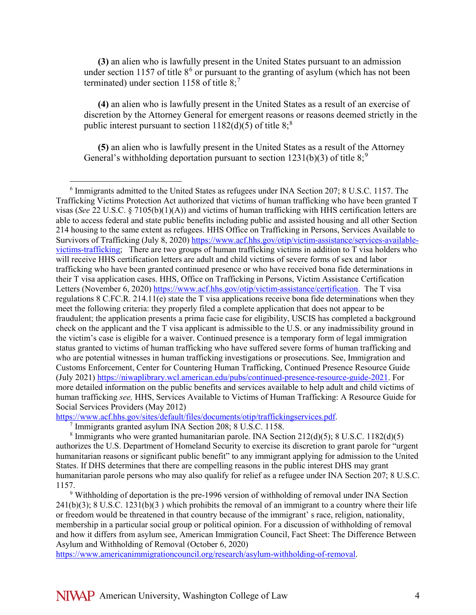**(3)** an alien who is lawfully present in the United States pursuant to an admission under section 1157 of title  $8<sup>6</sup>$  $8<sup>6</sup>$  $8<sup>6</sup>$  or pursuant to the granting of asylum (which has not been terminated) under section 1158 of title  $8:7$  $8:7$ 

**(4)** an alien who is lawfully present in the United States as a result of an exercise of discretion by the Attorney General for emergent reasons or reasons deemed strictly in the public interest pursuant to section  $1182(d)(5)$  $1182(d)(5)$  $1182(d)(5)$  of title  $8$ ;<sup>8</sup>

**(5)** an alien who is lawfully present in the United States as a result of the Attorney General's withholding deportation pursuant to section 1231(b)(3) of title  $8$ ;<sup>[9](#page-3-3)</sup>

<span id="page-3-1"></span>[https://www.acf.hhs.gov/sites/default/files/documents/otip/traffickingservices.pdf.](https://www.acf.hhs.gov/sites/default/files/documents/otip/traffickingservices.pdf) 7 Immigrants granted asylum INA Section 208; 8 U.S.C. 1158.

<span id="page-3-2"></span><sup>8</sup> Immigrants who were granted humanitarian parole. INA Section  $212(d)(5)$ ; 8 U.S.C.  $1182(d)(5)$ authorizes the U.S. Department of Homeland Security to exercise its discretion to grant parole for "urgent humanitarian reasons or significant public benefit" to any immigrant applying for admission to the United States. If DHS determines that there are compelling reasons in the public interest DHS may grant humanitarian parole persons who may also qualify for relief as a refugee under INA Section 207; 8 U.S.C. 1157.

<span id="page-3-3"></span><sup>9</sup> Withholding of deportation is the pre-1996 version of withholding of removal under INA Section  $241(b)(3)$ ; 8 U.S.C. 1231(b)(3) which prohibits the removal of an immigrant to a country where their life or freedom would be threatened in that country because of the immigrant' s race, religion, nationality, membership in a particular social group or political opinion. For a discussion of withholding of removal and how it differs from asylum see, American Immigration Council, Fact Sheet: The Difference Between Asylum and Withholding of Removal (October 6, 2020)

[https://www.americanimmigrationcouncil.org/research/asylum-withholding-of-removal.](https://www.americanimmigrationcouncil.org/research/asylum-withholding-of-removal)

<span id="page-3-0"></span> $6$  Immigrants admitted to the United States as refugees under INA Section 207; 8 U.S.C. 1157. The Trafficking Victims Protection Act authorized that victims of human trafficking who have been granted T visas (*See* 22 U.S.C. § 7105(b)(1)(A)) and victims of human trafficking with HHS certification letters are able to access federal and state public benefits including public and assisted housing and all other Section 214 housing to the same extent as refugees. HHS Office on Trafficking in Persons, Services Available to Survivors of Trafficking (July 8, 2020) [https://www.acf.hhs.gov/otip/victim-assistance/services-available](https://www.acf.hhs.gov/otip/victim-assistance/services-available-victims-trafficking)[victims-trafficking;](https://www.acf.hhs.gov/otip/victim-assistance/services-available-victims-trafficking) There are two groups of human trafficking victims in addition to T visa holders who will receive HHS certification letters are adult and child victims of severe forms of sex and labor trafficking who have been granted continued presence or who have received bona fide determinations in their T visa application cases. HHS, Office on Trafficking in Persons, Victim Assistance Certification Letters (November 6, 2020) [https://www.acf.hhs.gov/otip/victim-assistance/certification.](https://www.acf.hhs.gov/otip/victim-assistance/certification) The T visa regulations 8 C.FC.R. 214.11(e) state the T visa applications receive bona fide determinations when they meet the following criteria: they properly filed a complete application that does not appear to be fraudulent; the application presents a prima facie case for eligibility, USCIS has completed a background check on the applicant and the T visa applicant is admissible to the U.S. or any inadmissibility ground in the victim's case is eligible for a waiver. Continued presence is a temporary form of legal immigration status granted to victims of human trafficking who have suffered severe forms of human trafficking and who are potential witnesses in human trafficking investigations or prosecutions. See, Immigration and Customs Enforcement, Center for Countering Human Trafficking, Continued Presence Resource Guide (July 2021) [https://niwaplibrary.wcl.american.edu/pubs/continued-presence-resource-guide-2021.](https://niwaplibrary.wcl.american.edu/pubs/continued-presence-resource-guide-2021) For more detailed information on the public benefits and services available to help adult and child victims of human trafficking *see,* HHS, Services Available to Victims of Human Trafficking: A Resource Guide for Social Services Providers (May 2012)